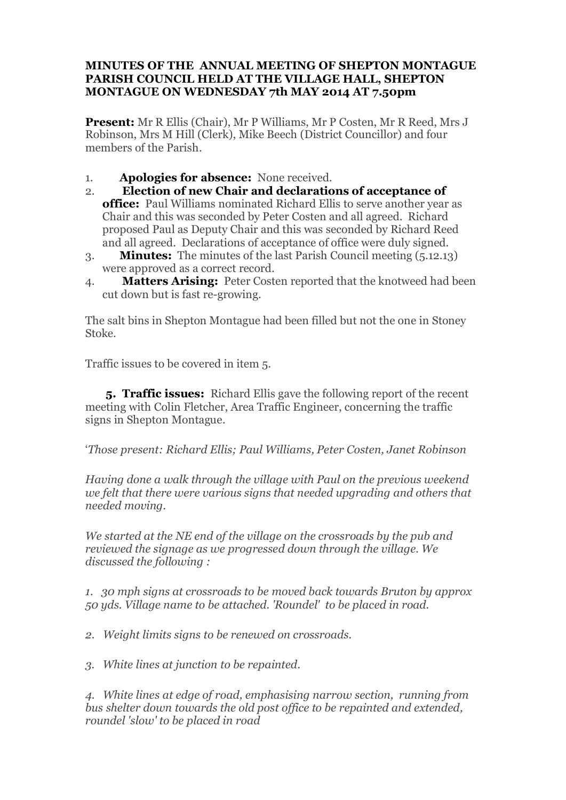## **MINUTES OF THE ANNUAL MEETING OF SHEPTON MONTAGUE PARISH COUNCIL HELD AT THE VILLAGE HALL, SHEPTON MONTAGUE ON WEDNESDAY 7th MAY 2014 AT 7.50pm**

**Present:** Mr R Ellis (Chair), Mr P Williams, Mr P Costen, Mr R Reed, Mrs J Robinson, Mrs M Hill (Clerk), Mike Beech (District Councillor) and four members of the Parish.

- 1. **Apologies for absence:** None received.
- 2. **Election of new Chair and declarations of acceptance of office:** Paul Williams nominated Richard Ellis to serve another year as Chair and this was seconded by Peter Costen and all agreed. Richard proposed Paul as Deputy Chair and this was seconded by Richard Reed and all agreed. Declarations of acceptance of office were duly signed.
- 3. **Minutes:** The minutes of the last Parish Council meeting (5.12.13) were approved as a correct record.
- 4. **Matters Arising:** Peter Costen reported that the knotweed had been cut down but is fast re-growing.

The salt bins in Shepton Montague had been filled but not the one in Stoney Stoke.

Traffic issues to be covered in item 5.

 **5. Traffic issues:** Richard Ellis gave the following report of the recent meeting with Colin Fletcher, Area Traffic Engineer, concerning the traffic signs in Shepton Montague.

'*Those present: Richard Ellis; Paul Williams, Peter Costen, Janet Robinson*

*Having done a walk through the village with Paul on the previous weekend we felt that there were various signs that needed upgrading and others that needed moving.*

*We started at the NE end of the village on the crossroads by the pub and reviewed the signage as we progressed down through the village. We discussed the following :*

*1. 30 mph signs at crossroads to be moved back towards Bruton by approx 50 yds. Village name to be attached. 'Roundel' to be placed in road.*

*2. Weight limits signs to be renewed on crossroads.*

*3. White lines at junction to be repainted.*

*4. White lines at edge of road, emphasising narrow section, running from bus shelter down towards the old post office to be repainted and extended, roundel 'slow' to be placed in road*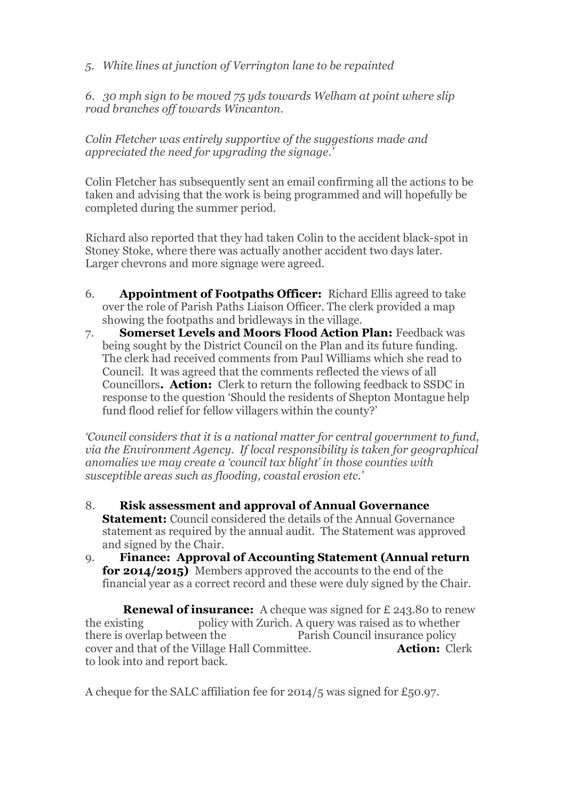*5. White lines at junction of Verrington lane to be repainted*

*6. 30 mph sign to be moved 75 yds towards Welham at point where slip road branches off towards Wincanton.*

*Colin Fletcher was entirely supportive of the suggestions made and appreciated the need for upgrading the signage.'*

Colin Fletcher has subsequently sent an email confirming all the actions to be taken and advising that the work is being programmed and will hopefully be completed during the summer period.

Richard also reported that they had taken Colin to the accident black-spot in Stoney Stoke, where there was actually another accident two days later. Larger chevrons and more signage were agreed.

- 6. **Appointment of Footpaths Officer:** Richard Ellis agreed to take over the role of Parish Paths Liaison Officer. The clerk provided a map showing the footpaths and bridleways in the village.
- 7. **Somerset Levels and Moors Flood Action Plan:** Feedback was being sought by the District Council on the Plan and its future funding. The clerk had received comments from Paul Williams which she read to Council. It was agreed that the comments reflected the views of all Councillors**. Action:** Clerk to return the following feedback to SSDC in response to the question 'Should the residents of Shepton Montague help fund flood relief for fellow villagers within the county?'

*'Council considers that it is a national matter for central government to fund, via the Environment Agency. If local responsibility is taken for geographical anomalies we may create a 'council tax blight' in those counties with susceptible areas such as flooding, coastal erosion etc.'*

- 8. **Risk assessment and approval of Annual Governance Statement:** Council considered the details of the Annual Governance statement as required by the annual audit. The Statement was approved and signed by the Chair.
- 9. **Finance: Approval of Accounting Statement (Annual return for 2014/2015)** Members approved the accounts to the end of the financial year as a correct record and these were duly signed by the Chair.

**Renewal of insurance:** A cheque was signed for £ 243.80 to renew the existing policy with Zurich. A query was raised as to whether there is overlap between the Parish Council insurance policy cover and that of the Village Hall Committee. **Action:** Clerk to look into and report back.

A cheque for the SALC affiliation fee for 2014/5 was signed for £50.97.